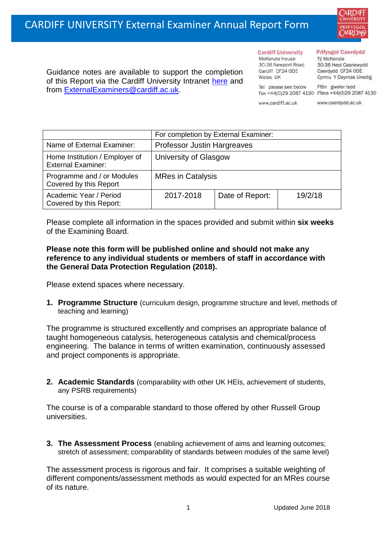

Guidance notes are available to support the completion of this Report via the Cardiff University Intranet [here](https://intranet.cardiff.ac.uk/staff/teaching-and-supporting-students/exams-and-assessment/exam-boards-and-external-examiners/for-current-external-examiners/external-examiners-reports) and from [ExternalExaminers@cardiff.ac.uk.](mailto:ExternalExaminers@cardiff.ac.uk)

#### **Prifysgol Caerdydd**

McKenzie House 30-36 Newport Road Cardiff CF24 ODE Wales UK

**Cardiff University** 

Từ McKenzie 30-36 Heol Casnewydd Caerdydd CF24 ODE Cymru Y Deyrnas Unedig

Ffôn gweler isod Fax +44(0)29 2087 4130 Ffacs +44(0)29 2087 4130

www.cardiff.ac.uk

Tel please see below

www.caerdydd.ac.uk

|                                                             | For completion by External Examiner: |                 |         |  |
|-------------------------------------------------------------|--------------------------------------|-----------------|---------|--|
| Name of External Examiner:                                  | <b>Professor Justin Hargreaves</b>   |                 |         |  |
| Home Institution / Employer of<br><b>External Examiner:</b> | University of Glasgow                |                 |         |  |
| Programme and / or Modules<br>Covered by this Report        | <b>MRes in Catalysis</b>             |                 |         |  |
| Academic Year / Period<br>Covered by this Report:           | 2017-2018                            | Date of Report: | 19/2/18 |  |

Please complete all information in the spaces provided and submit within **six weeks** of the Examining Board.

## **Please note this form will be published online and should not make any reference to any individual students or members of staff in accordance with the General Data Protection Regulation (2018).**

Please extend spaces where necessary.

**1. Programme Structure** (curriculum design, programme structure and level, methods of teaching and learning)

The programme is structured excellently and comprises an appropriate balance of taught homogeneous catalysis, heterogeneous catalysis and chemical/process engineering. The balance in terms of written examination, continuously assessed and project components is appropriate.

**2. Academic Standards** (comparability with other UK HEIs, achievement of students, any PSRB requirements)

The course is of a comparable standard to those offered by other Russell Group universities.

**3. The Assessment Process** (enabling achievement of aims and learning outcomes; stretch of assessment; comparability of standards between modules of the same level)

The assessment process is rigorous and fair. It comprises a suitable weighting of different components/assessment methods as would expected for an MRes course of its nature.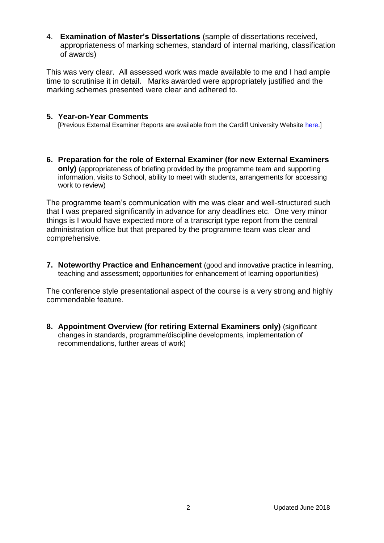4. **Examination of Master's Dissertations** (sample of dissertations received, appropriateness of marking schemes, standard of internal marking, classification of awards)

This was very clear. All assessed work was made available to me and I had ample time to scrutinise it in detail. Marks awarded were appropriately justified and the marking schemes presented were clear and adhered to.

### **5. Year-on-Year Comments**

[Previous External Examiner Reports are available from the Cardiff University Website [here.](https://www.cardiff.ac.uk/public-information/quality-and-standards/external-examiner-reports)]

**6. Preparation for the role of External Examiner (for new External Examiners only)** (appropriateness of briefing provided by the programme team and supporting information, visits to School, ability to meet with students, arrangements for accessing work to review)

The programme team's communication with me was clear and well-structured such that I was prepared significantly in advance for any deadlines etc. One very minor things is I would have expected more of a transcript type report from the central administration office but that prepared by the programme team was clear and comprehensive.

**7. Noteworthy Practice and Enhancement** (good and innovative practice in learning, teaching and assessment; opportunities for enhancement of learning opportunities)

The conference style presentational aspect of the course is a very strong and highly commendable feature.

**8. Appointment Overview (for retiring External Examiners only)** (significant changes in standards, programme/discipline developments, implementation of recommendations, further areas of work)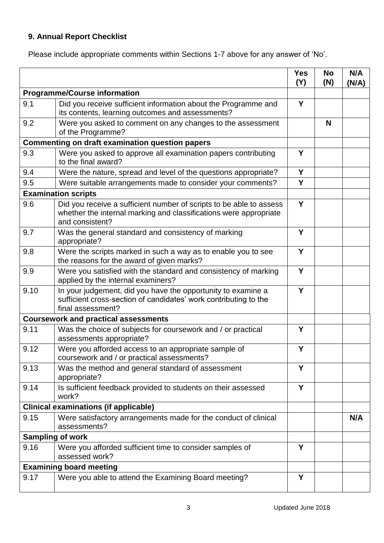# **9. Annual Report Checklist**

Please include appropriate comments within Sections 1-7 above for any answer of 'No'.

|                                                        |                                                                                                                                                             | <b>Yes</b><br>(Y) | <b>No</b><br>(N) | N/A<br>(N/A) |
|--------------------------------------------------------|-------------------------------------------------------------------------------------------------------------------------------------------------------------|-------------------|------------------|--------------|
| <b>Programme/Course information</b>                    |                                                                                                                                                             |                   |                  |              |
| 9.1                                                    | Did you receive sufficient information about the Programme and<br>its contents, learning outcomes and assessments?                                          | Y                 |                  |              |
| 9.2                                                    | Were you asked to comment on any changes to the assessment<br>of the Programme?                                                                             |                   | N                |              |
| <b>Commenting on draft examination question papers</b> |                                                                                                                                                             |                   |                  |              |
| 9.3                                                    | Were you asked to approve all examination papers contributing<br>to the final award?                                                                        | Y                 |                  |              |
| 9.4                                                    | Were the nature, spread and level of the questions appropriate?                                                                                             | Y                 |                  |              |
| 9.5                                                    | Were suitable arrangements made to consider your comments?                                                                                                  | Y                 |                  |              |
|                                                        | <b>Examination scripts</b>                                                                                                                                  |                   |                  |              |
| 9.6                                                    | Did you receive a sufficient number of scripts to be able to assess<br>whether the internal marking and classifications were appropriate<br>and consistent? | Y                 |                  |              |
| 9.7                                                    | Was the general standard and consistency of marking<br>appropriate?                                                                                         | Y                 |                  |              |
| 9.8                                                    | Were the scripts marked in such a way as to enable you to see<br>the reasons for the award of given marks?                                                  | Y                 |                  |              |
| 9.9                                                    | Were you satisfied with the standard and consistency of marking<br>applied by the internal examiners?                                                       | Y                 |                  |              |
| 9.10                                                   | In your judgement, did you have the opportunity to examine a<br>sufficient cross-section of candidates' work contributing to the<br>final assessment?       | Y                 |                  |              |
|                                                        | <b>Coursework and practical assessments</b>                                                                                                                 |                   |                  |              |
| 9.11                                                   | Was the choice of subjects for coursework and / or practical<br>assessments appropriate?                                                                    | Y                 |                  |              |
| 9.12                                                   | Were you afforded access to an appropriate sample of<br>coursework and / or practical assessments?                                                          | Y                 |                  |              |
| 9.13                                                   | Was the method and general standard of assessment<br>appropriate?                                                                                           | Y                 |                  |              |
| 9.14                                                   | Is sufficient feedback provided to students on their assessed<br>work?                                                                                      | Y                 |                  |              |
|                                                        | <b>Clinical examinations (if applicable)</b>                                                                                                                |                   |                  |              |
| 9.15                                                   | Were satisfactory arrangements made for the conduct of clinical<br>assessments?                                                                             |                   |                  | N/A          |
|                                                        | <b>Sampling of work</b>                                                                                                                                     |                   |                  |              |
| 9.16                                                   | Were you afforded sufficient time to consider samples of<br>assessed work?                                                                                  | Y                 |                  |              |
| <b>Examining board meeting</b>                         |                                                                                                                                                             |                   |                  |              |
| 9.17                                                   | Were you able to attend the Examining Board meeting?                                                                                                        | Y                 |                  |              |